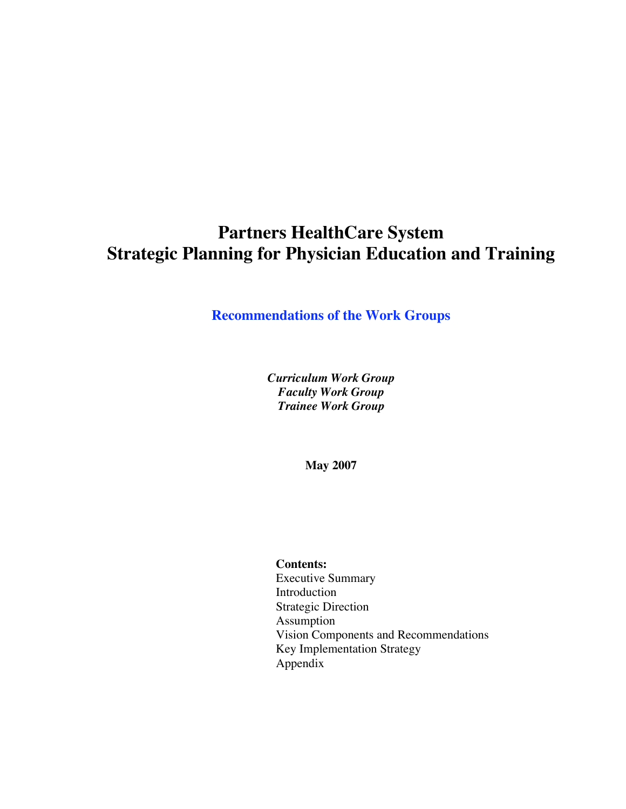# **Partners HealthCare System Strategic Planning for Physician Education and Training**

# **Recommendations of the Work Groups**

*Curriculum Work Group Faculty Work Group Trainee Work Group*

**May 2007**

#### **Contents:**

Executive Summary Introduction Strategic Direction Assumption Vision Components and Recommendations Key Implementation Strategy Appendix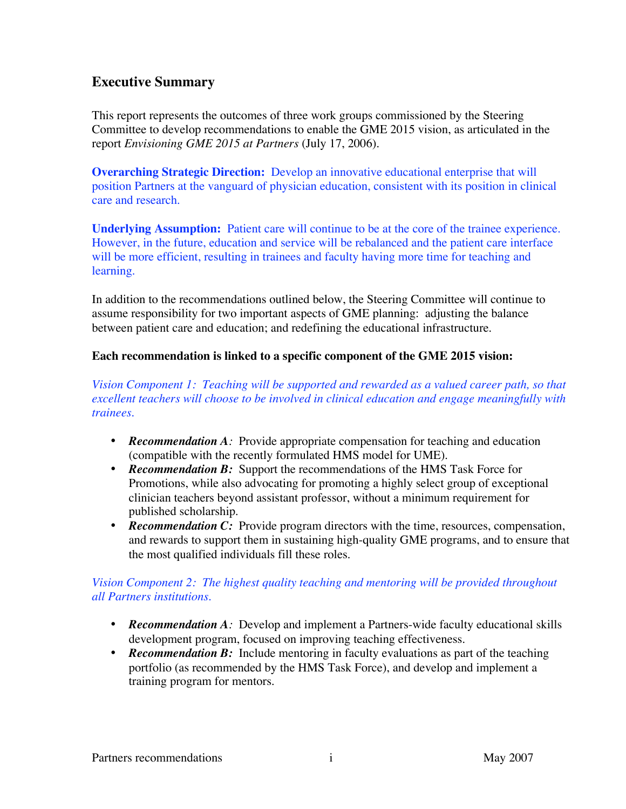# **Executive Summary**

This report represents the outcomes of three work groups commissioned by the Steering Committee to develop recommendations to enable the GME 2015 vision, as articulated in the report *Envisioning GME 2015 at Partners* (July 17, 2006).

**Overarching Strategic Direction:** Develop an innovative educational enterprise that will position Partners at the vanguard of physician education, consistent with its position in clinical care and research.

**Underlying Assumption:** Patient care will continue to be at the core of the trainee experience. However, in the future, education and service will be rebalanced and the patient care interface will be more efficient, resulting in trainees and faculty having more time for teaching and learning.

In addition to the recommendations outlined below, the Steering Committee will continue to assume responsibility for two important aspects of GME planning: adjusting the balance between patient care and education; and redefining the educational infrastructure.

#### **Each recommendation is linked to a specific component of the GME 2015 vision:**

*Vision Component 1: Teaching will be supported and rewarded as a valued career path, so that excellent teachers will choose to be involved in clinical education and engage meaningfully with trainees.*

- *Recommendation A*: Provide appropriate compensation for teaching and education (compatible with the recently formulated HMS model for UME).
- *Recommendation B:* Support the recommendations of the HMS Task Force for Promotions, while also advocating for promoting a highly select group of exceptional clinician teachers beyond assistant professor, without a minimum requirement for published scholarship.
- **Recommendation C:** Provide program directors with the time, resources, compensation, and rewards to support them in sustaining high-quality GME programs, and to ensure that the most qualified individuals fill these roles.

# *Vision Component 2: The highest quality teaching and mentoring will be provided throughout all Partners institutions.*

- *Recommendation A*: Develop and implement a Partners-wide faculty educational skills development program, focused on improving teaching effectiveness.
- *Recommendation B:* Include mentoring in faculty evaluations as part of the teaching portfolio (as recommended by the HMS Task Force), and develop and implement a training program for mentors.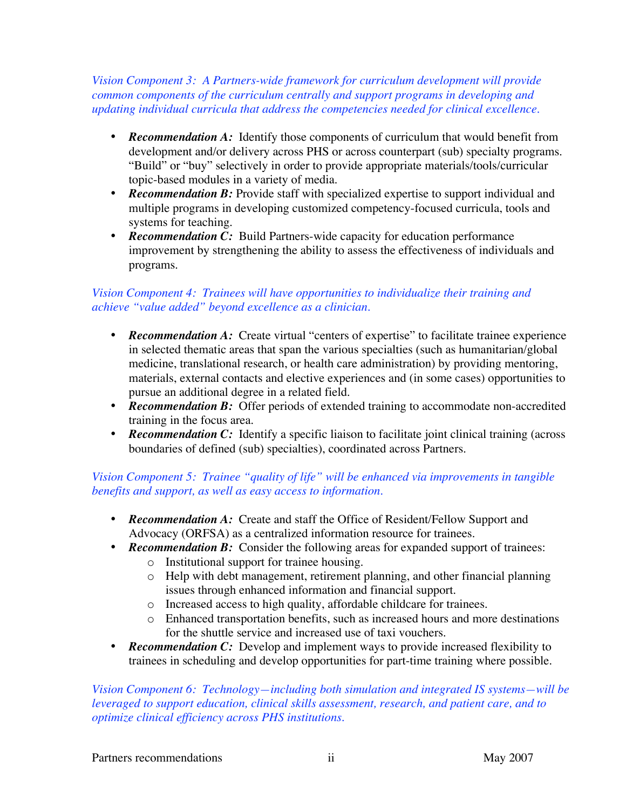*Vision Component 3: A Partners-wide framework for curriculum development will provide common components of the curriculum centrally and support programs in developing and updating individual curricula that address the competencies needed for clinical excellence.*

- **Recommendation A:** Identify those components of curriculum that would benefit from development and/or delivery across PHS or across counterpart (sub) specialty programs. "Build" or "buy" selectively in order to provide appropriate materials/tools/curricular topic-based modules in a variety of media.
- *Recommendation B:* Provide staff with specialized expertise to support individual and multiple programs in developing customized competency-focused curricula, tools and systems for teaching.
- **Recommendation C:** Build Partners-wide capacity for education performance improvement by strengthening the ability to assess the effectiveness of individuals and programs.

## *Vision Component 4: Trainees will have opportunities to individualize their training and achieve "value added" beyond excellence as a clinician.*

- **Recommendation A:** Create virtual "centers of expertise" to facilitate trainee experience in selected thematic areas that span the various specialties (such as humanitarian/global medicine, translational research, or health care administration) by providing mentoring, materials, external contacts and elective experiences and (in some cases) opportunities to pursue an additional degree in a related field.
- **Recommendation B:** Offer periods of extended training to accommodate non-accredited training in the focus area.
- *Recommendation C:* Identify a specific liaison to facilitate joint clinical training (across boundaries of defined (sub) specialties), coordinated across Partners.

# *Vision Component 5: Trainee "quality of life" will be enhanced via improvements in tangible benefits and support, as well as easy access to information.*

- *Recommendation A:* Create and staff the Office of Resident/Fellow Support and Advocacy (ORFSA) as a centralized information resource for trainees.
- *Recommendation B:* Consider the following areas for expanded support of trainees:
	- o Institutional support for trainee housing.
	- o Help with debt management, retirement planning, and other financial planning issues through enhanced information and financial support.
	- o Increased access to high quality, affordable childcare for trainees.
	- o Enhanced transportation benefits, such as increased hours and more destinations for the shuttle service and increased use of taxi vouchers.
- *Recommendation C:* Develop and implement ways to provide increased flexibility to trainees in scheduling and develop opportunities for part-time training where possible.

*Vision Component 6: Technology—including both simulation and integrated IS systems—will be leveraged to support education, clinical skills assessment, research, and patient care, and to optimize clinical efficiency across PHS institutions.*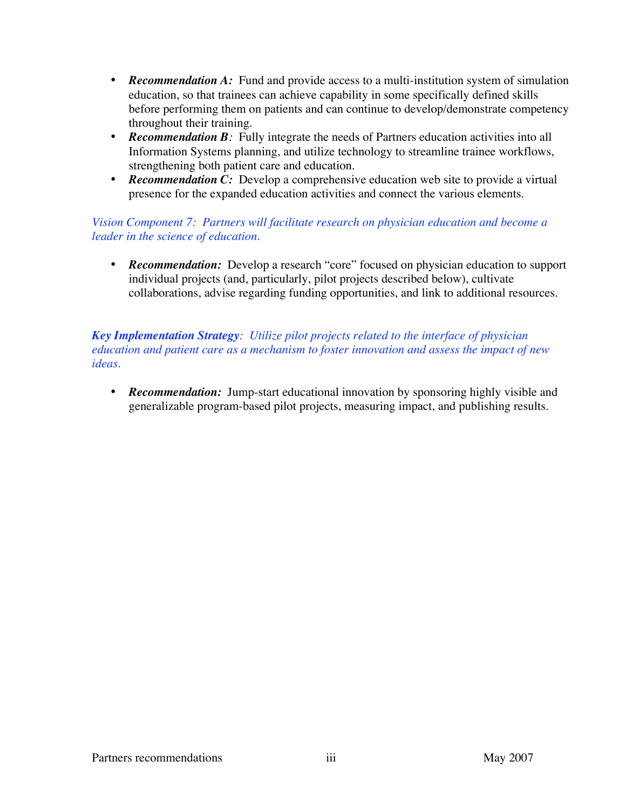- *Recommendation A:* Fund and provide access to a multi-institution system of simulation education, so that trainees can achieve capability in some specifically defined skills before performing them on patients and can continue to develop/demonstrate competency throughout their training.
- **Recommendation B**: Fully integrate the needs of Partners education activities into all Information Systems planning, and utilize technology to streamline trainee workflows, strengthening both patient care and education.
- **Recommendation C:** Develop a comprehensive education web site to provide a virtual presence for the expanded education activities and connect the various elements.

# *Vision Component 7: Partners will facilitate research on physician education and become a leader in the science of education.*

• **Recommendation:** Develop a research "core" focused on physician education to support individual projects (and, particularly, pilot projects described below), cultivate collaborations, advise regarding funding opportunities, and link to additional resources.

*Key Implementation Strategy: Utilize pilot projects related to the interface of physician education and patient care as a mechanism to foster innovation and assess the impact of new ideas.*

• *Recommendation:* Jump-start educational innovation by sponsoring highly visible and generalizable program-based pilot projects, measuring impact, and publishing results.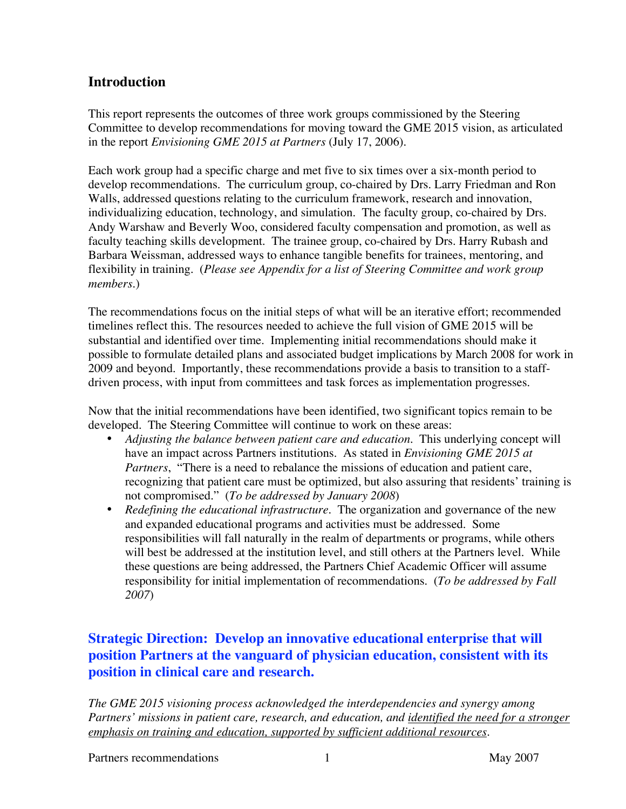# **Introduction**

This report represents the outcomes of three work groups commissioned by the Steering Committee to develop recommendations for moving toward the GME 2015 vision, as articulated in the report *Envisioning GME 2015 at Partners* (July 17, 2006).

Each work group had a specific charge and met five to six times over a six-month period to develop recommendations. The curriculum group, co-chaired by Drs. Larry Friedman and Ron Walls, addressed questions relating to the curriculum framework, research and innovation, individualizing education, technology, and simulation. The faculty group, co-chaired by Drs. Andy Warshaw and Beverly Woo, considered faculty compensation and promotion, as well as faculty teaching skills development. The trainee group, co-chaired by Drs. Harry Rubash and Barbara Weissman, addressed ways to enhance tangible benefits for trainees, mentoring, and flexibility in training. (*Please see Appendix for a list of Steering Committee and work group members*.)

The recommendations focus on the initial steps of what will be an iterative effort; recommended timelines reflect this. The resources needed to achieve the full vision of GME 2015 will be substantial and identified over time. Implementing initial recommendations should make it possible to formulate detailed plans and associated budget implications by March 2008 for work in 2009 and beyond. Importantly, these recommendations provide a basis to transition to a staffdriven process, with input from committees and task forces as implementation progresses.

Now that the initial recommendations have been identified, two significant topics remain to be developed. The Steering Committee will continue to work on these areas:

- *Adjusting the balance between patient care and education*. This underlying concept will have an impact across Partners institutions. As stated in *Envisioning GME 2015 at Partners*, "There is a need to rebalance the missions of education and patient care, recognizing that patient care must be optimized, but also assuring that residents' training is not compromised." (*To be addressed by January 2008*)
- *Redefining the educational infrastructure*. The organization and governance of the new and expanded educational programs and activities must be addressed. Some responsibilities will fall naturally in the realm of departments or programs, while others will best be addressed at the institution level, and still others at the Partners level. While these questions are being addressed, the Partners Chief Academic Officer will assume responsibility for initial implementation of recommendations. (*To be addressed by Fall 2007*)

# **Strategic Direction: Develop an innovative educational enterprise that will position Partners at the vanguard of physician education, consistent with its position in clinical care and research.**

*The GME 2015 visioning process acknowledged the interdependencies and synergy among Partners' missions in patient care, research, and education, and identified the need for a stronger emphasis on training and education, supported by sufficient additional resources.*

Partners recommendations 1 May 2007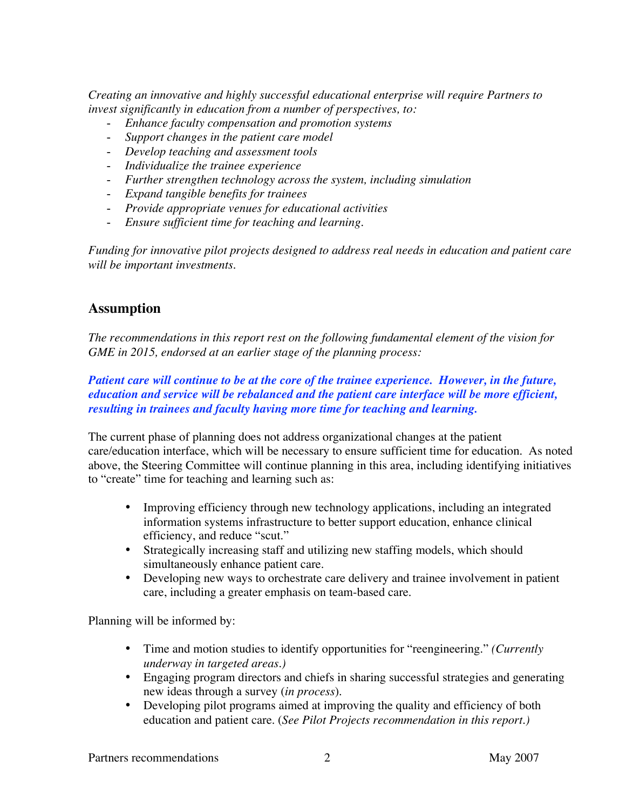*Creating an innovative and highly successful educational enterprise will require Partners to invest significantly in education from a number of perspectives, to:*

- *Enhance faculty compensation and promotion systems*
- *Support changes in the patient care model*
- *Develop teaching and assessment tools*
- *Individualize the trainee experience*
- *Further strengthen technology across the system, including simulation*
- *Expand tangible benefits for trainees*
- *Provide appropriate venues for educational activities*
- *Ensure sufficient time for teaching and learning.*

*Funding for innovative pilot projects designed to address real needs in education and patient care will be important investments.*

# **Assumption**

*The recommendations in this report rest on the following fundamental element of the vision for GME in 2015, endorsed at an earlier stage of the planning process:*

### *Patient care will continue to be at the core of the trainee experience. However, in the future, education and service will be rebalanced and the patient care interface will be more efficient, resulting in trainees and faculty having more time for teaching and learning.*

The current phase of planning does not address organizational changes at the patient care/education interface, which will be necessary to ensure sufficient time for education. As noted above, the Steering Committee will continue planning in this area, including identifying initiatives to "create" time for teaching and learning such as:

- Improving efficiency through new technology applications, including an integrated information systems infrastructure to better support education, enhance clinical efficiency, and reduce "scut."
- Strategically increasing staff and utilizing new staffing models, which should simultaneously enhance patient care.
- Developing new ways to orchestrate care delivery and trainee involvement in patient care, including a greater emphasis on team-based care.

Planning will be informed by:

- Time and motion studies to identify opportunities for "reengineering." *(Currently underway in targeted areas.)*
- Engaging program directors and chiefs in sharing successful strategies and generating new ideas through a survey (*in process*).
- Developing pilot programs aimed at improving the quality and efficiency of both education and patient care. (*See Pilot Projects recommendation in this report.)*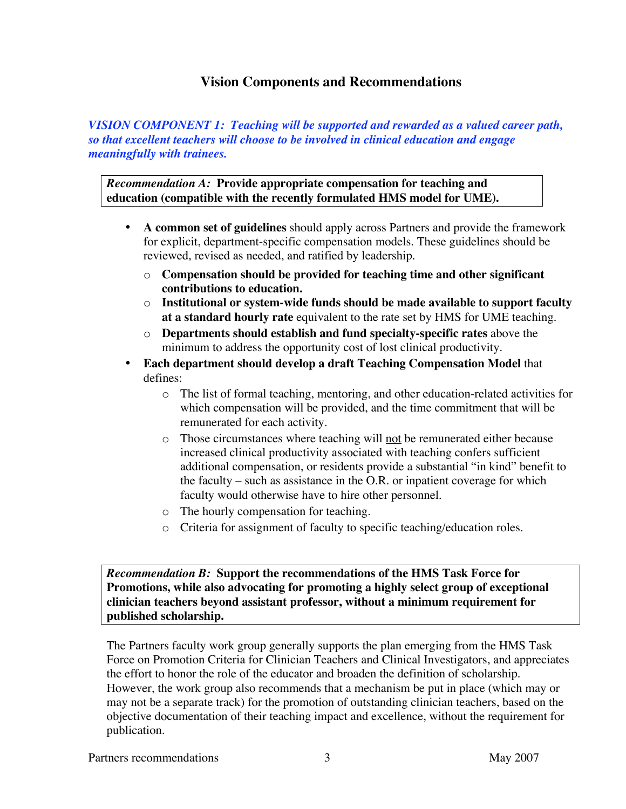# **Vision Components and Recommendations**

*VISION COMPONENT 1: Teaching will be supported and rewarded as a valued career path, so that excellent teachers will choose to be involved in clinical education and engage meaningfully with trainees.*

*Recommendation A:* **Provide appropriate compensation for teaching and education (compatible with the recently formulated HMS model for UME).**

- **A common set of guidelines** should apply across Partners and provide the framework for explicit, department-specific compensation models. These guidelines should be reviewed, revised as needed, and ratified by leadership.
	- o **Compensation should be provided for teaching time and other significant contributions to education.**
	- o **Institutional or system-wide funds should be made available to support faculty at a standard hourly rate** equivalent to the rate set by HMS for UME teaching.
	- o **Departments should establish and fund specialty-specific rates** above the minimum to address the opportunity cost of lost clinical productivity.
- **Each department should develop a draft Teaching Compensation Model** that defines:
	- o The list of formal teaching, mentoring, and other education-related activities for which compensation will be provided, and the time commitment that will be remunerated for each activity.
	- o Those circumstances where teaching will not be remunerated either because increased clinical productivity associated with teaching confers sufficient additional compensation, or residents provide a substantial "in kind" benefit to the faculty – such as assistance in the O.R. or inpatient coverage for which faculty would otherwise have to hire other personnel.
	- o The hourly compensation for teaching.
	- o Criteria for assignment of faculty to specific teaching/education roles.

*Recommendation B:* **Support the recommendations of the HMS Task Force for Promotions, while also advocating for promoting a highly select group of exceptional clinician teachers beyond assistant professor, without a minimum requirement for published scholarship.**

The Partners faculty work group generally supports the plan emerging from the HMS Task Force on Promotion Criteria for Clinician Teachers and Clinical Investigators, and appreciates the effort to honor the role of the educator and broaden the definition of scholarship. However, the work group also recommends that a mechanism be put in place (which may or may not be a separate track) for the promotion of outstanding clinician teachers, based on the objective documentation of their teaching impact and excellence, without the requirement for publication.

Partners recommendations 3 and 3 May 2007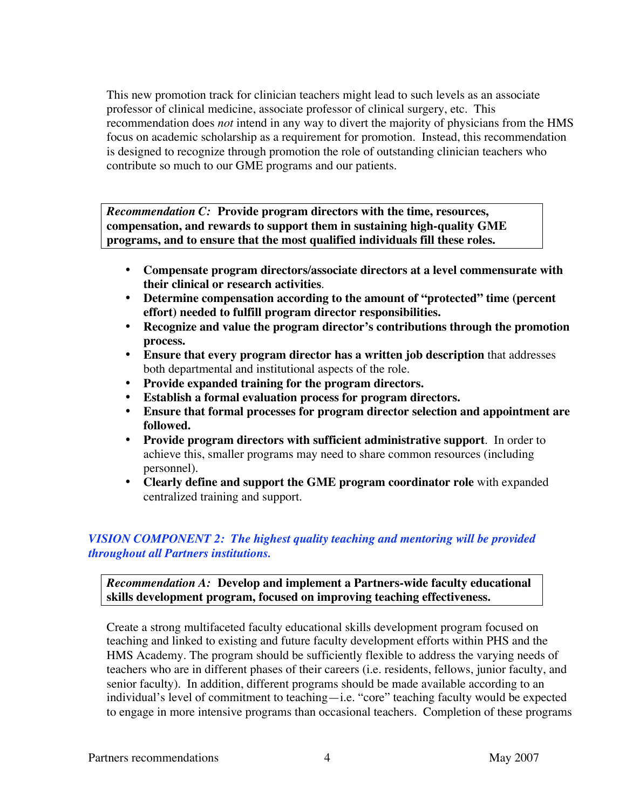This new promotion track for clinician teachers might lead to such levels as an associate professor of clinical medicine, associate professor of clinical surgery, etc. This recommendation does *not* intend in any way to divert the majority of physicians from the HMS focus on academic scholarship as a requirement for promotion. Instead, this recommendation is designed to recognize through promotion the role of outstanding clinician teachers who contribute so much to our GME programs and our patients.

*Recommendation C:* **Provide program directors with the time, resources, compensation, and rewards to support them in sustaining high-quality GME programs, and to ensure that the most qualified individuals fill these roles.**

- **Compensate program directors/associate directors at a level commensurate with their clinical or research activities**.
- **Determine compensation according to the amount of "protected" time (percent effort) needed to fulfill program director responsibilities.**
- **Recognize and value the program director's contributions through the promotion process.**
- **Ensure that every program director has a written job description** that addresses both departmental and institutional aspects of the role.
- **Provide expanded training for the program directors.**
- **Establish a formal evaluation process for program directors.**
- **Ensure that formal processes for program director selection and appointment are followed.**
- **Provide program directors with sufficient administrative support**. In order to achieve this, smaller programs may need to share common resources (including personnel).
- **Clearly define and support the GME program coordinator role** with expanded centralized training and support.

### *VISION COMPONENT 2:**The highest quality teaching and mentoring will be provided throughout all Partners institutions.*

### *Recommendation A:* **Develop and implement a Partners-wide faculty educational skills development program, focused on improving teaching effectiveness.**

Create a strong multifaceted faculty educational skills development program focused on teaching and linked to existing and future faculty development efforts within PHS and the HMS Academy. The program should be sufficiently flexible to address the varying needs of teachers who are in different phases of their careers (i.e. residents, fellows, junior faculty, and senior faculty). In addition, different programs should be made available according to an individual's level of commitment to teaching—i.e. "core" teaching faculty would be expected to engage in more intensive programs than occasional teachers. Completion of these programs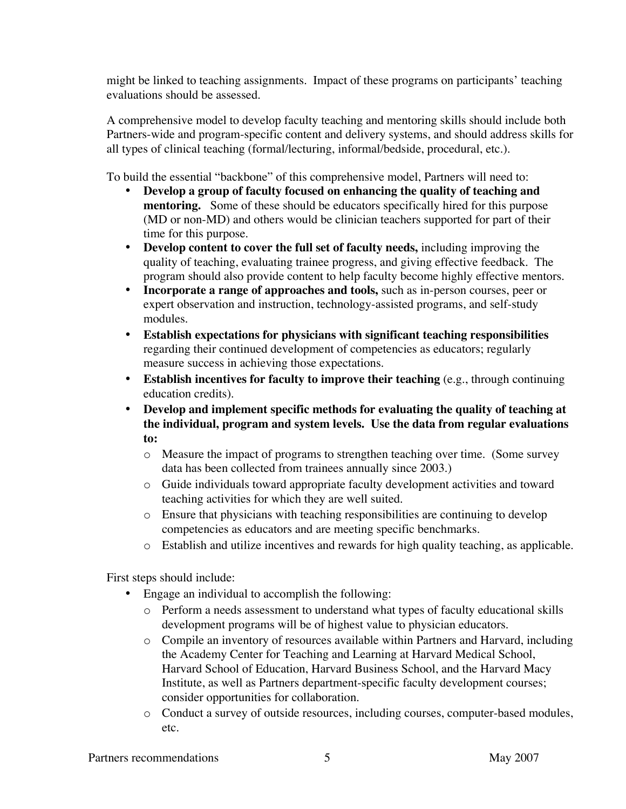might be linked to teaching assignments. Impact of these programs on participants' teaching evaluations should be assessed.

A comprehensive model to develop faculty teaching and mentoring skills should include both Partners-wide and program-specific content and delivery systems, and should address skills for all types of clinical teaching (formal/lecturing, informal/bedside, procedural, etc.).

To build the essential "backbone" of this comprehensive model, Partners will need to:

- **Develop a group of faculty focused on enhancing the quality of teaching and mentoring.** Some of these should be educators specifically hired for this purpose (MD or non-MD) and others would be clinician teachers supported for part of their time for this purpose.
- **Develop content to cover the full set of faculty needs,** including improving the quality of teaching, evaluating trainee progress, and giving effective feedback. The program should also provide content to help faculty become highly effective mentors.
- **Incorporate a range of approaches and tools,** such as in-person courses, peer or expert observation and instruction, technology-assisted programs, and self-study modules.
- **Establish expectations for physicians with significant teaching responsibilities** regarding their continued development of competencies as educators; regularly measure success in achieving those expectations.
- **Establish incentives for faculty to improve their teaching** (e.g., through continuing education credits).
- **Develop and implement specific methods for evaluating the quality of teaching at the individual, program and system levels. Use the data from regular evaluations to:**
	- o Measure the impact of programs to strengthen teaching over time. (Some survey data has been collected from trainees annually since 2003.)
	- o Guide individuals toward appropriate faculty development activities and toward teaching activities for which they are well suited.
	- o Ensure that physicians with teaching responsibilities are continuing to develop competencies as educators and are meeting specific benchmarks.
	- o Establish and utilize incentives and rewards for high quality teaching, as applicable.

First steps should include:

- Engage an individual to accomplish the following:
	- o Perform a needs assessment to understand what types of faculty educational skills development programs will be of highest value to physician educators.
	- o Compile an inventory of resources available within Partners and Harvard, including the Academy Center for Teaching and Learning at Harvard Medical School, Harvard School of Education, Harvard Business School, and the Harvard Macy Institute, as well as Partners department-specific faculty development courses; consider opportunities for collaboration.
	- o Conduct a survey of outside resources, including courses, computer-based modules, etc.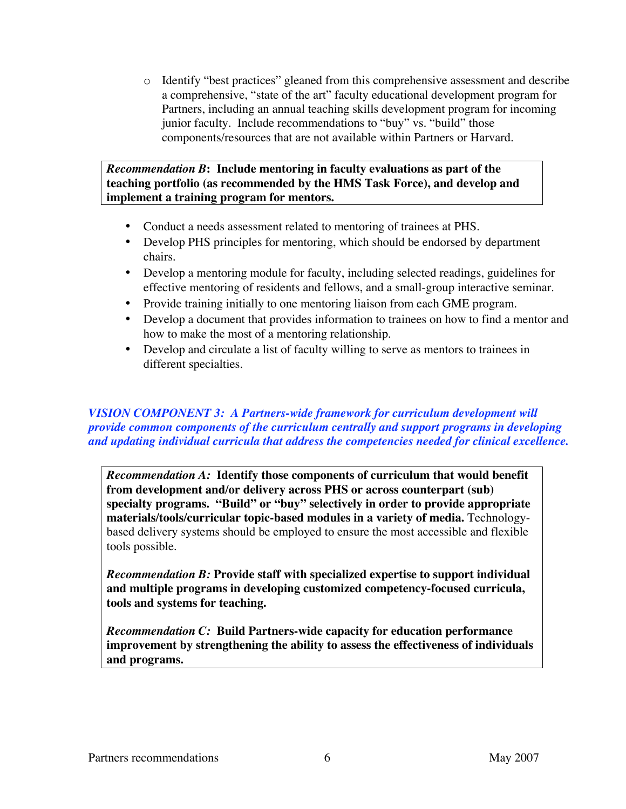o Identify "best practices" gleaned from this comprehensive assessment and describe a comprehensive, "state of the art" faculty educational development program for Partners, including an annual teaching skills development program for incoming junior faculty. Include recommendations to "buy" vs. "build" those components/resources that are not available within Partners or Harvard.

#### *Recommendation B***: Include mentoring in faculty evaluations as part of the teaching portfolio (as recommended by the HMS Task Force), and develop and implement a training program for mentors.**

- Conduct a needs assessment related to mentoring of trainees at PHS.
- Develop PHS principles for mentoring, which should be endorsed by department chairs.
- Develop a mentoring module for faculty, including selected readings, guidelines for effective mentoring of residents and fellows, and a small-group interactive seminar.
- Provide training initially to one mentoring liaison from each GME program.
- Develop a document that provides information to trainees on how to find a mentor and how to make the most of a mentoring relationship.
- Develop and circulate a list of faculty willing to serve as mentors to trainees in different specialties.

#### *VISION COMPONENT 3: A Partners-wide framework for curriculum development will provide common components of the curriculum centrally and support programs in developing and updating individual curricula that address the competencies needed for clinical excellence.*

*Recommendation A:* **Identify those components of curriculum that would benefit from development and/or delivery across PHS or across counterpart (sub) specialty programs. "Build" or "buy" selectively in order to provide appropriate materials/tools/curricular topic-based modules in a variety of media.** Technologybased delivery systems should be employed to ensure the most accessible and flexible tools possible.

*Recommendation B:* **Provide staff with specialized expertise to support individual and multiple programs in developing customized competency-focused curricula, tools and systems for teaching.**

*Recommendation C:* **Build Partners-wide capacity for education performance improvement by strengthening the ability to assess the effectiveness of individuals and programs.**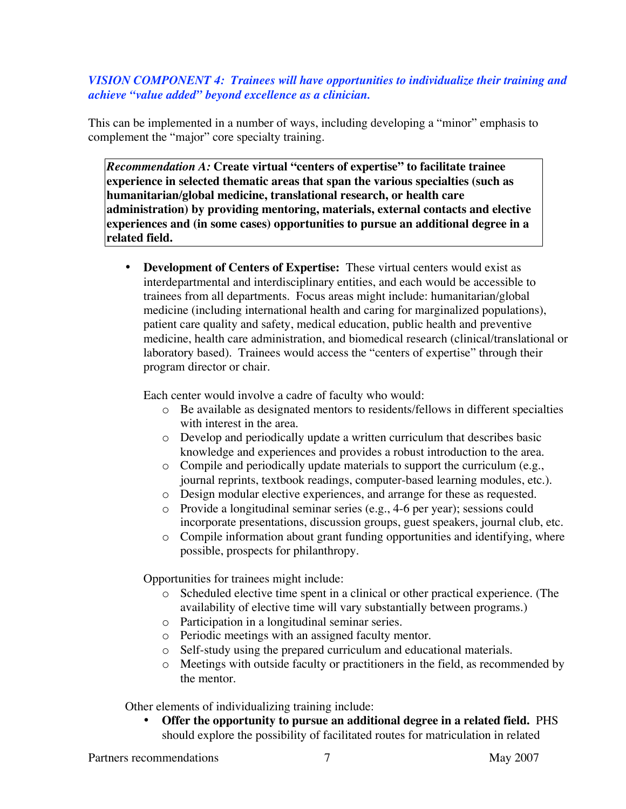### *VISION COMPONENT 4: Trainees will have opportunities to individualize their training and achieve "value added" beyond excellence as a clinician.*

This can be implemented in a number of ways, including developing a "minor" emphasis to complement the "major" core specialty training.

*Recommendation A:* **Create virtual "centers of expertise" to facilitate trainee experience in selected thematic areas that span the various specialties (such as humanitarian/global medicine, translational research, or health care administration) by providing mentoring, materials, external contacts and elective experiences and (in some cases) opportunities to pursue an additional degree in a related field.**

• **Development of Centers of Expertise:** These virtual centers would exist as interdepartmental and interdisciplinary entities, and each would be accessible to trainees from all departments. Focus areas might include: humanitarian/global medicine (including international health and caring for marginalized populations), patient care quality and safety, medical education, public health and preventive medicine, health care administration, and biomedical research (clinical/translational or laboratory based). Trainees would access the "centers of expertise" through their program director or chair.

Each center would involve a cadre of faculty who would:

- o Be available as designated mentors to residents/fellows in different specialties with interest in the area.
- o Develop and periodically update a written curriculum that describes basic knowledge and experiences and provides a robust introduction to the area.
- o Compile and periodically update materials to support the curriculum (e.g., journal reprints, textbook readings, computer-based learning modules, etc.).
- o Design modular elective experiences, and arrange for these as requested.
- o Provide a longitudinal seminar series (e.g., 4-6 per year); sessions could incorporate presentations, discussion groups, guest speakers, journal club, etc.
- o Compile information about grant funding opportunities and identifying, where possible, prospects for philanthropy.

Opportunities for trainees might include:

- o Scheduled elective time spent in a clinical or other practical experience. (The availability of elective time will vary substantially between programs.)
- o Participation in a longitudinal seminar series.
- o Periodic meetings with an assigned faculty mentor.
- o Self-study using the prepared curriculum and educational materials.
- o Meetings with outside faculty or practitioners in the field, as recommended by the mentor.

Other elements of individualizing training include:

• **Offer the opportunity to pursue an additional degree in a related field.** PHS should explore the possibility of facilitated routes for matriculation in related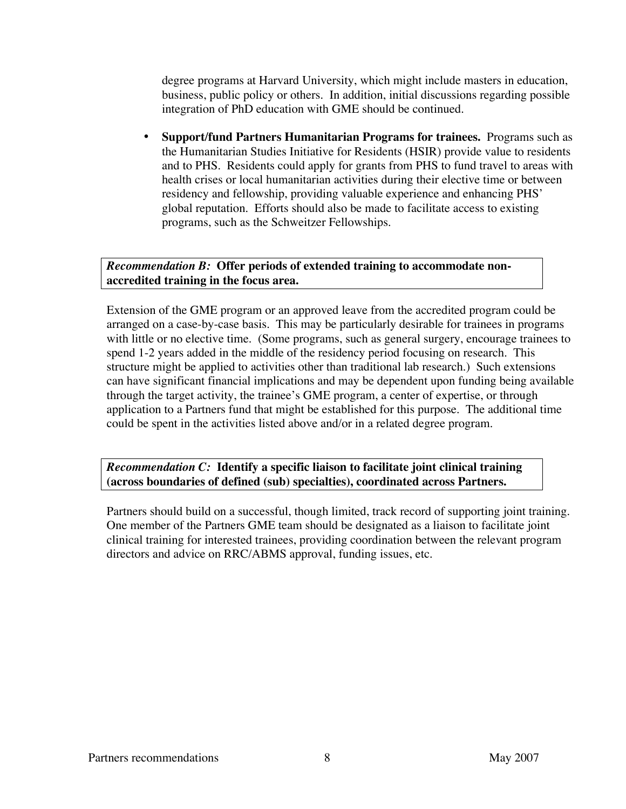degree programs at Harvard University, which might include masters in education, business, public policy or others. In addition, initial discussions regarding possible integration of PhD education with GME should be continued.

• **Support/fund Partners Humanitarian Programs for trainees.** Programs such as the Humanitarian Studies Initiative for Residents (HSIR) provide value to residents and to PHS. Residents could apply for grants from PHS to fund travel to areas with health crises or local humanitarian activities during their elective time or between residency and fellowship, providing valuable experience and enhancing PHS' global reputation. Efforts should also be made to facilitate access to existing programs, such as the Schweitzer Fellowships.

#### *Recommendation B:* **Offer periods of extended training to accommodate nonaccredited training in the focus area.**

Extension of the GME program or an approved leave from the accredited program could be arranged on a case-by-case basis. This may be particularly desirable for trainees in programs with little or no elective time. (Some programs, such as general surgery, encourage trainees to spend 1-2 years added in the middle of the residency period focusing on research. This structure might be applied to activities other than traditional lab research.) Such extensions can have significant financial implications and may be dependent upon funding being available through the target activity, the trainee's GME program, a center of expertise, or through application to a Partners fund that might be established for this purpose. The additional time could be spent in the activities listed above and/or in a related degree program.

*Recommendation C:* **Identify a specific liaison to facilitate joint clinical training (across boundaries of defined (sub) specialties), coordinated across Partners.**

Partners should build on a successful, though limited, track record of supporting joint training. One member of the Partners GME team should be designated as a liaison to facilitate joint clinical training for interested trainees, providing coordination between the relevant program directors and advice on RRC/ABMS approval, funding issues, etc.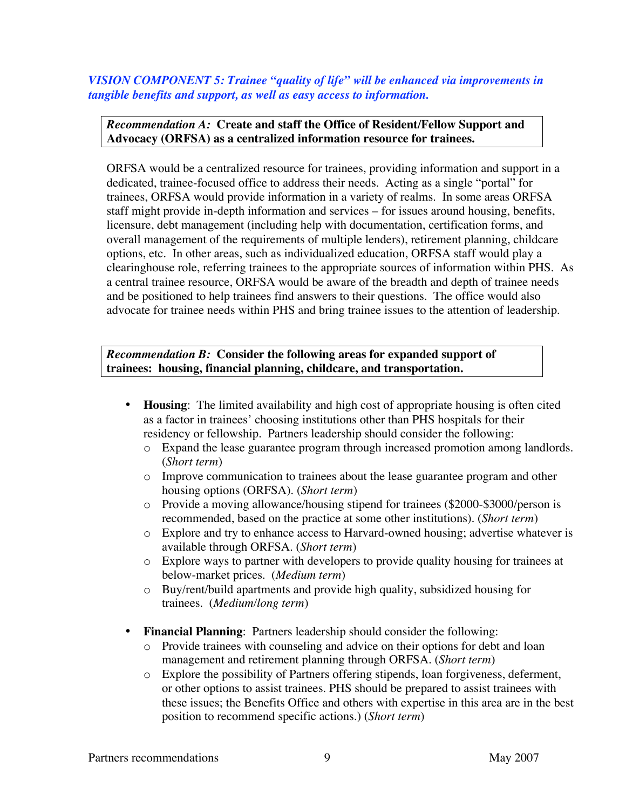*VISION COMPONENT 5: Trainee "quality of life" will be enhanced via improvements in tangible benefits and support, as well as easy access to information.*

#### *Recommendation A:* **Create and staff the Office of Resident/Fellow Support and Advocacy (ORFSA) as a centralized information resource for trainees.**

ORFSA would be a centralized resource for trainees, providing information and support in a dedicated, trainee-focused office to address their needs. Acting as a single "portal" for trainees, ORFSA would provide information in a variety of realms. In some areas ORFSA staff might provide in-depth information and services – for issues around housing, benefits, licensure, debt management (including help with documentation, certification forms, and overall management of the requirements of multiple lenders), retirement planning, childcare options, etc. In other areas, such as individualized education, ORFSA staff would play a clearinghouse role, referring trainees to the appropriate sources of information within PHS. As a central trainee resource, ORFSA would be aware of the breadth and depth of trainee needs and be positioned to help trainees find answers to their questions. The office would also advocate for trainee needs within PHS and bring trainee issues to the attention of leadership.

*Recommendation B:* **Consider the following areas for expanded support of trainees: housing, financial planning, childcare, and transportation.**

- **Housing**: The limited availability and high cost of appropriate housing is often cited as a factor in trainees' choosing institutions other than PHS hospitals for their residency or fellowship. Partners leadership should consider the following:
	- o Expand the lease guarantee program through increased promotion among landlords. (*Short term*)
	- o Improve communication to trainees about the lease guarantee program and other housing options (ORFSA). (*Short term*)
	- o Provide a moving allowance/housing stipend for trainees (\$2000-\$3000/person is recommended, based on the practice at some other institutions). (*Short term*)
	- o Explore and try to enhance access to Harvard-owned housing; advertise whatever is available through ORFSA. (*Short term*)
	- o Explore ways to partner with developers to provide quality housing for trainees at below-market prices. (*Medium term*)
	- o Buy/rent/build apartments and provide high quality, subsidized housing for trainees. (*Medium/long term*)
- **Financial Planning**: Partners leadership should consider the following:
	- o Provide trainees with counseling and advice on their options for debt and loan management and retirement planning through ORFSA. (*Short term*)
	- o Explore the possibility of Partners offering stipends, loan forgiveness, deferment, or other options to assist trainees. PHS should be prepared to assist trainees with these issues; the Benefits Office and others with expertise in this area are in the best position to recommend specific actions.) (*Short term*)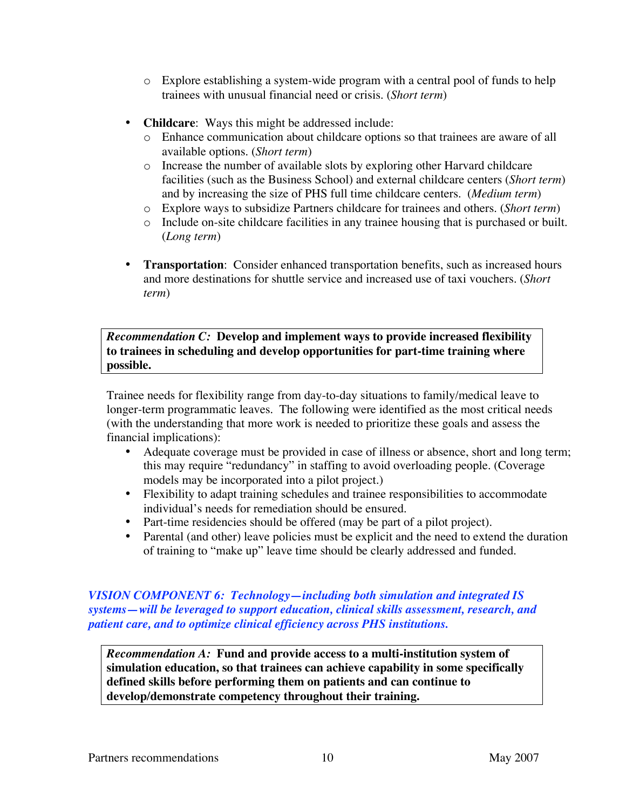- o Explore establishing a system-wide program with a central pool of funds to help trainees with unusual financial need or crisis. (*Short term*)
- **Childcare:** Ways this might be addressed include:
	- o Enhance communication about childcare options so that trainees are aware of all available options. (*Short term*)
	- o Increase the number of available slots by exploring other Harvard childcare facilities (such as the Business School) and external childcare centers (*Short term*) and by increasing the size of PHS full time childcare centers. (*Medium term*)
	- o Explore ways to subsidize Partners childcare for trainees and others. (*Short term*)
	- o Include on-site childcare facilities in any trainee housing that is purchased or built. (*Long term*)
- **Transportation:** Consider enhanced transportation benefits, such as increased hours and more destinations for shuttle service and increased use of taxi vouchers. (*Short term*)

*Recommendation C:* **Develop and implement ways to provide increased flexibility to trainees in scheduling and develop opportunities for part-time training where possible.**

Trainee needs for flexibility range from day-to-day situations to family/medical leave to longer-term programmatic leaves. The following were identified as the most critical needs (with the understanding that more work is needed to prioritize these goals and assess the financial implications):

- Adequate coverage must be provided in case of illness or absence, short and long term; this may require "redundancy" in staffing to avoid overloading people. (Coverage models may be incorporated into a pilot project.)
- Flexibility to adapt training schedules and trainee responsibilities to accommodate individual's needs for remediation should be ensured.
- Part-time residencies should be offered (may be part of a pilot project).
- Parental (and other) leave policies must be explicit and the need to extend the duration of training to "make up" leave time should be clearly addressed and funded.

*VISION COMPONENT 6: Technology—including both simulation and integrated IS systems—will be leveraged to support education, clinical skills assessment, research, and patient care, and to optimize clinical efficiency across PHS institutions.*

*Recommendation A:* **Fund and provide access to a multi-institution system of simulation education, so that trainees can achieve capability in some specifically defined skills before performing them on patients and can continue to develop/demonstrate competency throughout their training.**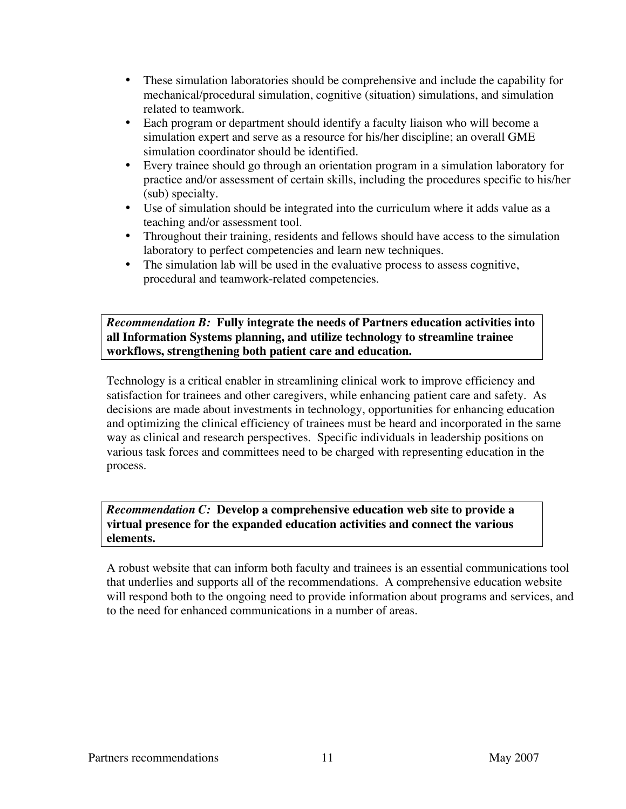- These simulation laboratories should be comprehensive and include the capability for mechanical/procedural simulation, cognitive (situation) simulations, and simulation related to teamwork.
- Each program or department should identify a faculty liaison who will become a simulation expert and serve as a resource for his/her discipline; an overall GME simulation coordinator should be identified.
- Every trainee should go through an orientation program in a simulation laboratory for practice and/or assessment of certain skills, including the procedures specific to his/her (sub) specialty.
- Use of simulation should be integrated into the curriculum where it adds value as a teaching and/or assessment tool.
- Throughout their training, residents and fellows should have access to the simulation laboratory to perfect competencies and learn new techniques.
- The simulation lab will be used in the evaluative process to assess cognitive, procedural and teamwork-related competencies.

*Recommendation B:* **Fully integrate the needs of Partners education activities into all Information Systems planning, and utilize technology to streamline trainee workflows, strengthening both patient care and education.**

Technology is a critical enabler in streamlining clinical work to improve efficiency and satisfaction for trainees and other caregivers, while enhancing patient care and safety. As decisions are made about investments in technology, opportunities for enhancing education and optimizing the clinical efficiency of trainees must be heard and incorporated in the same way as clinical and research perspectives. Specific individuals in leadership positions on various task forces and committees need to be charged with representing education in the process.

*Recommendation C:* **Develop a comprehensive education web site to provide a virtual presence for the expanded education activities and connect the various elements.**

A robust website that can inform both faculty and trainees is an essential communications tool that underlies and supports all of the recommendations. A comprehensive education website will respond both to the ongoing need to provide information about programs and services, and to the need for enhanced communications in a number of areas.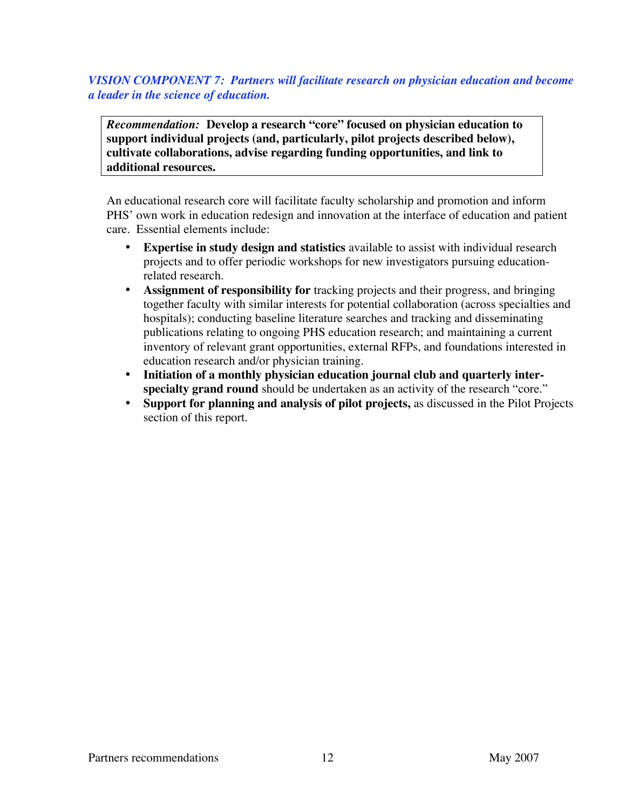## *VISION COMPONENT 7: Partners will facilitate research on physician education and become a leader in the science of education.*

*Recommendation:* **Develop a research "core" focused on physician education to support individual projects (and, particularly, pilot projects described below), cultivate collaborations, advise regarding funding opportunities, and link to additional resources.**

An educational research core will facilitate faculty scholarship and promotion and inform PHS' own work in education redesign and innovation at the interface of education and patient care. Essential elements include:

- **Expertise in study design and statistics** available to assist with individual research projects and to offer periodic workshops for new investigators pursuing educationrelated research.
- **Assignment of responsibility for** tracking projects and their progress, and bringing together faculty with similar interests for potential collaboration (across specialties and hospitals); conducting baseline literature searches and tracking and disseminating publications relating to ongoing PHS education research; and maintaining a current inventory of relevant grant opportunities, external RFPs, and foundations interested in education research and/or physician training.
- **Initiation of a monthly physician education journal club and quarterly inter**specialty grand round should be undertaken as an activity of the research "core."
- **Support for planning and analysis of pilot projects,** as discussed in the Pilot Projects section of this report.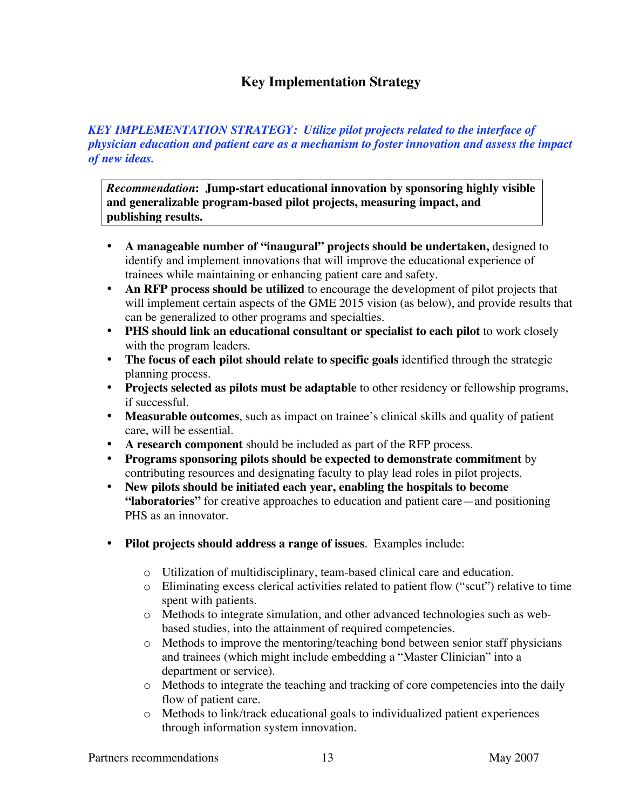# **Key Implementation Strategy**

### *KEY IMPLEMENTATION STRATEGY: Utilize pilot projects related to the interface of physician education and patient care as a mechanism to foster innovation and assess the impact of new ideas.*

*Recommendation***: Jump-start educational innovation by sponsoring highly visible and generalizable program-based pilot projects, measuring impact, and publishing results.**

- **A manageable number of "inaugural" projects should be undertaken,** designed to identify and implement innovations that will improve the educational experience of trainees while maintaining or enhancing patient care and safety.
- **An RFP process should be utilized** to encourage the development of pilot projects that will implement certain aspects of the GME 2015 vision (as below), and provide results that can be generalized to other programs and specialties.
- **PHS should link an educational consultant or specialist to each pilot** to work closely with the program leaders.
- **The focus of each pilot should relate to specific goals** identified through the strategic planning process.
- **Projects selected as pilots must be adaptable** to other residency or fellowship programs, if successful.
- **Measurable outcomes**, such as impact on trainee's clinical skills and quality of patient care, will be essential.
- **A research component** should be included as part of the RFP process.
- **Programs sponsoring pilots should be expected to demonstrate commitment** by contributing resources and designating faculty to play lead roles in pilot projects.
- **New pilots should be initiated each year, enabling the hospitals to become "laboratories"** for creative approaches to education and patient care—and positioning PHS as an innovator.
- **Pilot projects should address a range of issues**. Examples include:
	- o Utilization of multidisciplinary, team-based clinical care and education.
	- o Eliminating excess clerical activities related to patient flow ("scut") relative to time spent with patients.
	- o Methods to integrate simulation, and other advanced technologies such as webbased studies, into the attainment of required competencies.
	- $\circ$  Methods to improve the mentoring/teaching bond between senior staff physicians and trainees (which might include embedding a "Master Clinician" into a department or service).
	- o Methods to integrate the teaching and tracking of core competencies into the daily flow of patient care.
	- o Methods to link/track educational goals to individualized patient experiences through information system innovation.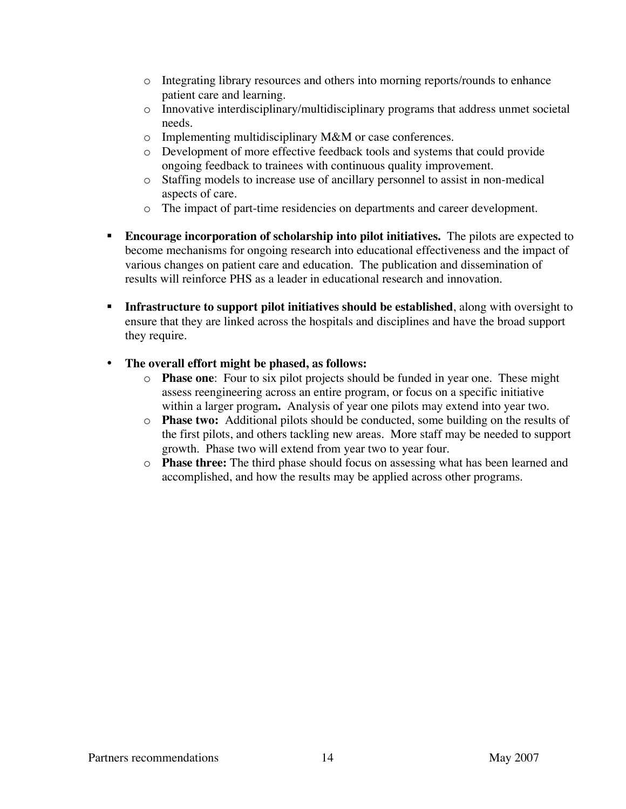- o Integrating library resources and others into morning reports/rounds to enhance patient care and learning.
- o Innovative interdisciplinary/multidisciplinary programs that address unmet societal needs.
- o Implementing multidisciplinary M&M or case conferences.
- o Development of more effective feedback tools and systems that could provide ongoing feedback to trainees with continuous quality improvement.
- o Staffing models to increase use of ancillary personnel to assist in non-medical aspects of care.
- o The impact of part-time residencies on departments and career development.
- **Encourage incorporation of scholarship into pilot initiatives.** The pilots are expected to become mechanisms for ongoing research into educational effectiveness and the impact of various changes on patient care and education. The publication and dissemination of results will reinforce PHS as a leader in educational research and innovation.
- **Infrastructure to support pilot initiatives should be established**, along with oversight to ensure that they are linked across the hospitals and disciplines and have the broad support they require.

# • **The overall effort might be phased, as follows:**

- o **Phase one**: Four to six pilot projects should be funded in year one. These might assess reengineering across an entire program, or focus on a specific initiative within a larger program**.** Analysis of year one pilots may extend into year two.
- o **Phase two:** Additional pilots should be conducted, some building on the results of the first pilots, and others tackling new areas. More staff may be needed to support growth. Phase two will extend from year two to year four.
- o **Phase three:** The third phase should focus on assessing what has been learned and accomplished, and how the results may be applied across other programs.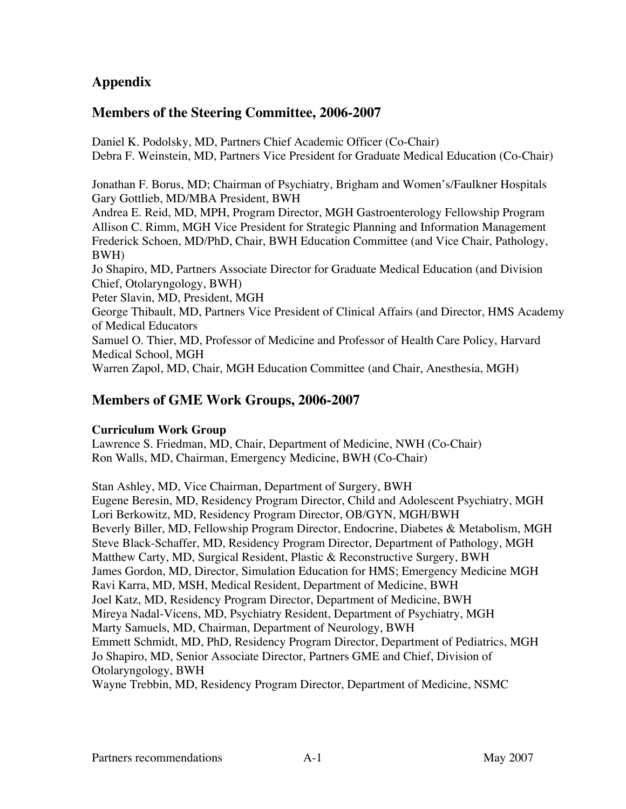# **Appendix**

# **Members of the Steering Committee, 2006-2007**

Daniel K. Podolsky, MD, Partners Chief Academic Officer (Co-Chair) Debra F. Weinstein, MD, Partners Vice President for Graduate Medical Education (Co-Chair)

Jonathan F. Borus, MD; Chairman of Psychiatry, Brigham and Women's/Faulkner Hospitals Gary Gottlieb, MD/MBA President, BWH

Andrea E. Reid, MD, MPH, Program Director, MGH Gastroenterology Fellowship Program Allison C. Rimm, MGH Vice President for Strategic Planning and Information Management Frederick Schoen, MD/PhD, Chair, BWH Education Committee (and Vice Chair, Pathology, BWH)

Jo Shapiro, MD, Partners Associate Director for Graduate Medical Education (and Division Chief, Otolaryngology, BWH)

Peter Slavin, MD, President, MGH

George Thibault, MD, Partners Vice President of Clinical Affairs (and Director, HMS Academy of Medical Educators

Samuel O. Thier, MD, Professor of Medicine and Professor of Health Care Policy, Harvard Medical School, MGH

Warren Zapol, MD, Chair, MGH Education Committee (and Chair, Anesthesia, MGH)

# **Members of GME Work Groups, 2006-2007**

### **Curriculum Work Group**

Lawrence S. Friedman, MD, Chair, Department of Medicine, NWH (Co-Chair) Ron Walls, MD, Chairman, Emergency Medicine, BWH (Co-Chair)

Stan Ashley, MD, Vice Chairman, Department of Surgery, BWH Eugene Beresin, MD, Residency Program Director, Child and Adolescent Psychiatry, MGH Lori Berkowitz, MD, Residency Program Director, OB/GYN, MGH/BWH Beverly Biller, MD, Fellowship Program Director, Endocrine, Diabetes & Metabolism, MGH Steve Black-Schaffer, MD, Residency Program Director, Department of Pathology, MGH Matthew Carty, MD, Surgical Resident, Plastic & Reconstructive Surgery, BWH James Gordon, MD, Director, Simulation Education for HMS; Emergency Medicine MGH Ravi Karra, MD, MSH, Medical Resident, Department of Medicine, BWH Joel Katz, MD, Residency Program Director, Department of Medicine, BWH Mireya Nadal-Vicens, MD, Psychiatry Resident, Department of Psychiatry, MGH Marty Samuels, MD, Chairman, Department of Neurology, BWH Emmett Schmidt, MD, PhD, Residency Program Director, Department of Pediatrics, MGH Jo Shapiro, MD, Senior Associate Director, Partners GME and Chief, Division of Otolaryngology, BWH Wayne Trebbin, MD, Residency Program Director, Department of Medicine, NSMC